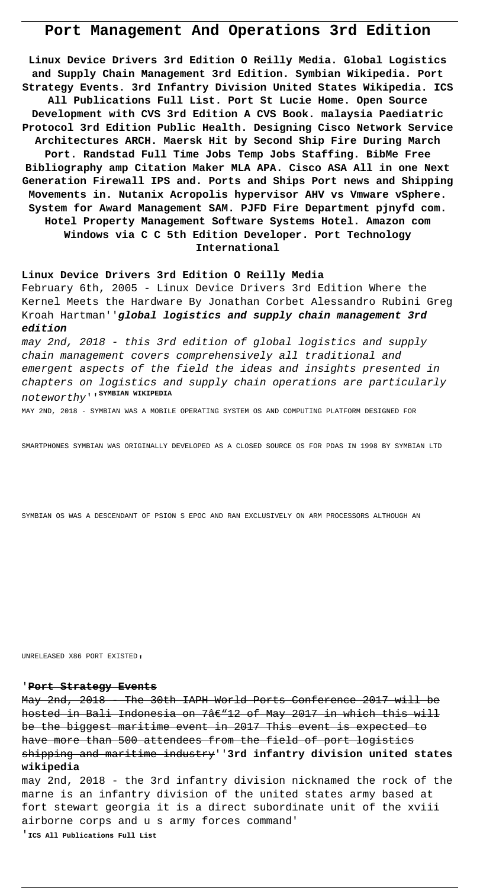# **Port Management And Operations 3rd Edition**

**Linux Device Drivers 3rd Edition O Reilly Media. Global Logistics and Supply Chain Management 3rd Edition. Symbian Wikipedia. Port Strategy Events. 3rd Infantry Division United States Wikipedia. ICS All Publications Full List. Port St Lucie Home. Open Source Development with CVS 3rd Edition A CVS Book. malaysia Paediatric Protocol 3rd Edition Public Health. Designing Cisco Network Service Architectures ARCH. Maersk Hit by Second Ship Fire During March Port. Randstad Full Time Jobs Temp Jobs Staffing. BibMe Free Bibliography amp Citation Maker MLA APA. Cisco ASA All in one Next Generation Firewall IPS and. Ports and Ships Port news and Shipping Movements in. Nutanix Acropolis hypervisor AHV vs Vmware vSphere. System for Award Management SAM. PJFD Fire Department pjnyfd com. Hotel Property Management Software Systems Hotel. Amazon com Windows via C C 5th Edition Developer. Port Technology International**

### **Linux Device Drivers 3rd Edition O Reilly Media**

February 6th, 2005 - Linux Device Drivers 3rd Edition Where the Kernel Meets the Hardware By Jonathan Corbet Alessandro Rubini Greg Kroah Hartman''**global logistics and supply chain management 3rd edition**

may 2nd, 2018 - this 3rd edition of global logistics and supply chain management covers comprehensively all traditional and emergent aspects of the field the ideas and insights presented in chapters on logistics and supply chain operations are particularly noteworthy''**SYMBIAN WIKIPEDIA**

MAY 2ND, 2018 - SYMBIAN WAS A MOBILE OPERATING SYSTEM OS AND COMPUTING PLATFORM DESIGNED FOR

SMARTPHONES SYMBIAN WAS ORIGINALLY DEVELOPED AS A CLOSED SOURCE OS FOR PDAS IN 1998 BY SYMBIAN LTD

SYMBIAN OS WAS A DESCENDANT OF PSION S EPOC AND RAN EXCLUSIVELY ON ARM PROCESSORS ALTHOUGH AN

UNRELEASED X86 PORT EXISTED'

### '**Port Strategy Events**

May 2nd, 2018 - The 30th IAPH World Ports Conference 2017 will be hosted in Bali Indonesia on  $7$ â $\in$ "12 of May 2017 in which this will be the biggest maritime event in 2017 This event is expected to have more than 500 attendees from the field of port logistics shipping and maritime industry''**3rd infantry division united states wikipedia**

may 2nd, 2018 - the 3rd infantry division nicknamed the rock of the marne is an infantry division of the united states army based at fort stewart georgia it is a direct subordinate unit of the xviii airborne corps and u s army forces command'

'**ICS All Publications Full List**